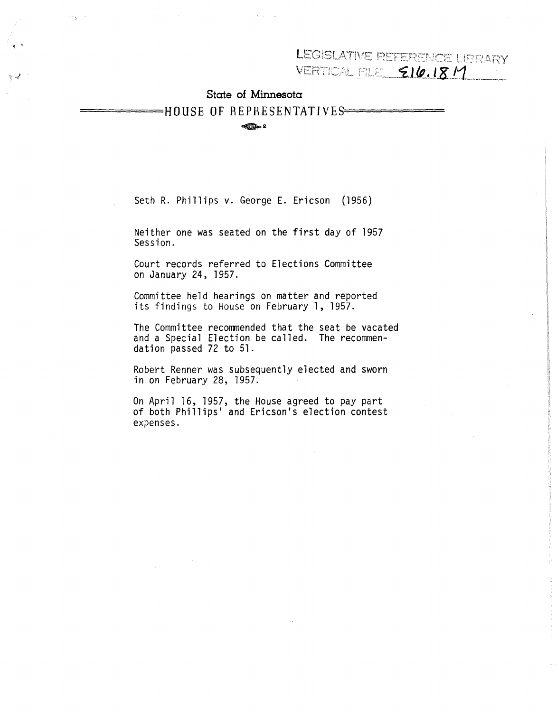LEGISLATIVE REFERENCE LIBRARY

VERTICAL FILE **EIG.18 M** 

# **State of Minnesota**

=====HOUSE **OF** REPRESENTATIVES======

 $\bigoplus$  2

Seth R. Phillips v. George E. Ericson (1956)

Neither one was seated on the first day of 1957 Session.

Court records referred to Elections Committee on January 24, 1957.

Committee held hearings on matter and reported its findings to House on February 1, 1957.

The Committee recommended that the seat be vacated and a Special Election be called. The recommendation passed 72 to 51.

Robert Renner was subsequently elected and sworn in on February 28, 1957.

On April 16, 1957, the House agreed to pay part of both Phillips' and Ericson's election contest expenses.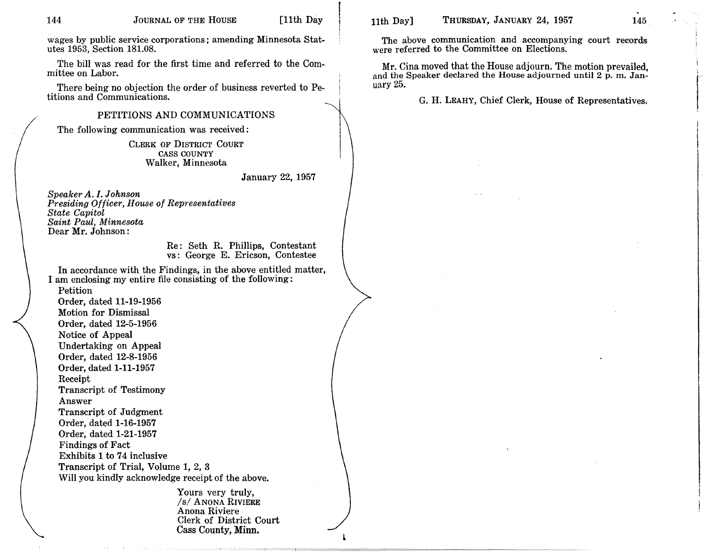wages by public service corporations; amending Minnesota Statutes 1953, Section 181.08.

The bill was read for the first time and referred to the Committee on Labor.

There being no objection the order of business reverted to Petitions and Communications.

# PETITIONS AND COMMUNICATIONS

The following communication was received:

CLERK OF DISTRICT COURT CASS COUNTY Walker, Minnesota

January 22, 1957

*Speaker A. I. Johnson Presiding Officer, House of Rep'resentatives State Capitol Saint Paul, Minnesota* Dear Mr. Johnson:

> Re: Seth R. Phillips, Contestant vs: George E. Ericson, Contestee

In accordance with the Findings, in the above entitled matter, I am enclosing my entire file consisting of the following:

Petition

Order, dated 11-19-1956 Motion for Dismissal Order, dated 12-5-1956 Notice of Appeal Undertaking on Appeal Order, dated 12-8-1956 Order, dated 1-11-1957 Receipt Transcript of Testimony Answer Transcript of Judgment Order, dated 1-16-1957 Order, dated 1-21-1957 Findings of Fact Exhibits 1 to 74 inclusive Transcript of Trial, Volume 1, 2, 3 Will you kindly acknowledge receipt of the above.

> Yours very truly, *Is/* ANONA RIVIERE Anona Riviere Clerk of District Court Cass County, Minn.

l

144 JOURNAL OF THE HOUSE [11th Day | 11th Day] THURSDAY, JANUARY 24, 1957 145

 $\sum_{i=1}^{n}$ 

**Index Community** 

The above communication and accompanying court records were referred to the Committee on Elections.

Mr. Cina moved that the House adjourn. The motion prevailed, and the Speaker declared the House adjourned until <sup>2</sup> p. m. January 25.

G. H. LEAHY, Chief Clerk, House of Representatives.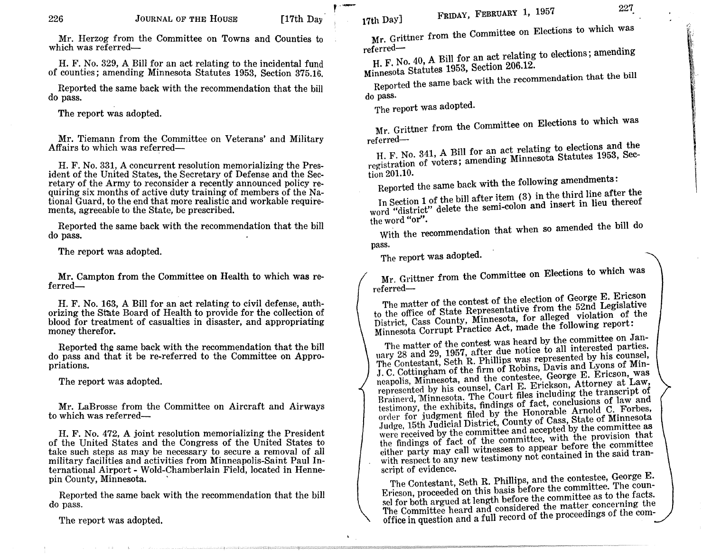Mr. Herzog from the Committee on Towns and Counties to which was referred-

H. F. No. 329, A Bill for an act relating to the incidental fund of counties; amending Minnesota Statutes 1953, Section 375.16.

Reported the same back with the recommendation that the bill do pass.

The report was adopted.

Mr. Tiemann from the Committee on Veterans' and Military Affairs to which was referred-

H. F. No. 331, A concurrent resolution memorializing the President of the United States, the Secretary of Defense and the Secretary of the Army to reconsider a recently announced policy requiring six months of active duty training of members of the National Guard, to the end that more realistic and workable requirements, agreeable to the State, be prescribed.

Reported the same back with the recommendation that the bill do pass.

The report was adopted.

Mr. Campton from the Committee on Health to which was referred-

H. F. No. 163, A Bill for an act relating to civil defense, authorizing the State Board of Health to provide for the collection of blood for treatment of casualties in disaster, and appropriating money therefor.

Reported the same back with the recommendation that the bill do pass and that it be re-referred to the Committee on Appropriations.

The report was adopted.

Mr. LaBrosse from the Committee on Aircraft and Airways to which was referred-

H. F. No. 472, A joint resolution memorializing the President of the United States and the Congress of the United States to take such steps as may be necessary to secure a removal of all military facilities and activities from Minneapolis-Saint Paul International Airport - Wold-Chamberlain Field, located in Hennepin County, Minnesota. .

Reported the same back with the recommendation that the bill do pass.

The report was adopted.

FRIDAY, FEBRUARY 1, 1957 227

!,', 'I'

> ~,II \:  $\bf{r}$ !

Mr. Grittner from the Committee on Elections to which was referred-

H. F. No. 40, A Bill for an act relating to elections; amending Minnesota Statutes 1953, Section 206.12.

Reported the same back with the recommendation that the bill do pass.

The report was adopted.

Mr. Grittner from the Committee on Elections to which was referred-

H. F. No. 341, A Bill for an act relating to elections and the registration of voters; amending Minnesota Statutes 1953, Section 201.10.

Reported the same back with the following amendments:

In Section 1 of the bill after item (3) in the third line after the word "district" delete the semi-colon and insert in lieu thereof the word "or".

With the recommendation that when so amended the bill do pass.

The report was adopted.

Mr. Grittner from the Committee on Elections to which was referred-

The matter of the contest of the election of George E. Ericson to the office of State Representative from the 52nd Legislative District, Cass County, Minnesota, for alleged violation of the Minnesota Corrupt Practice Act, made the following report:

The matter of the contest was heard by the committee on January 28 and 29, 1957, after due notice to all interested parties. The Contestant, Seth R. Phillips was represented by his counsel, J. C. Cottingham of the firm of Robins, Davis and Lyons of Minneapolis, Minnesota, and the contestee, George E. Ericson, was represented by his counsel, Carl E. Erickson, Attorney at Law, Brainerd, Minnesota. The Court files including the transcript of testimony, the exhibits. findings of fact, conclusions of law and order for judgment filed by the Honorable Arnold C. Forbes, .Judge, 15th Judicial District, County of Cass, State of Minnesota were received by the committee and accepted by the committee as the findings of fact of the committee, with the provision that either party may call witnesses to appear before the committee with respect to any new testimony not contained in the said transcript of evidence.

The Contestant, Seth R. Phillips, and the contestee, George E. Ericson, proceeded on this basis before the committee. The counsel for both argued at length before the committee as to the facts. The Committee heard and considered the matter concerning the office in question and a full record of the proceedings of the com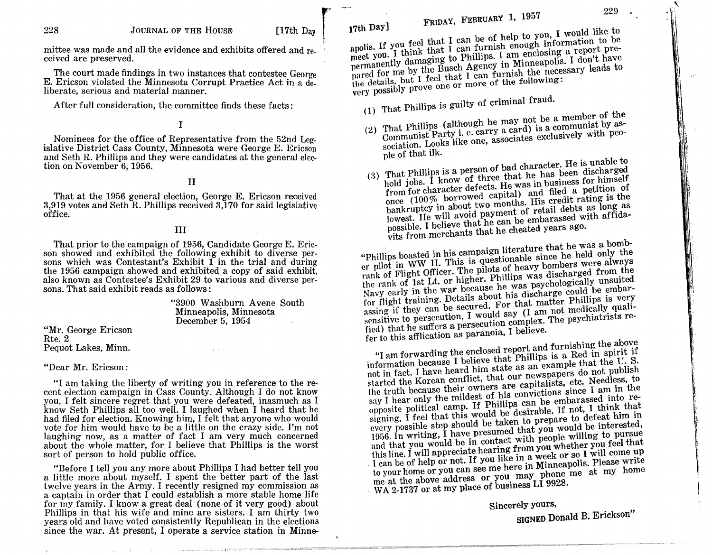mittee was made and all the evidence and exhibits offered and received are preserved.

The court made findings in two instances that contestee George E. Ericson violated the Minnesota Corrupt Practice Act in a de. liberate, serious and material manner.

After full consideration, the committee finds these facts:

# I

Nominees for the office of Representative from the 52nd Legislative District Cass County, Minnesota were George E. Ericson and Seth R. Phillips and they were candidates at the general election on November 6, 1956.

# II

That at the 1956 general election, George E. Ericson received 3,919 votes and Seth R. Phillips received  $3,170$  for said legislative office.

# III

That prior to the campaign of 1956, Candidate George E. Ericson showed and exhibited the following exhibit to diverse persons which was Contestant's Exhibit  $1$  in the trial and during the 1956 campaign showed and exhibited a copy of said exhibit, also known as Contestee's Exhibit 29 to various and diverse persons. That said exhibit reads as follows:

> "3900 Washburn Avene South Minneapolis, Minnesota December 5, 1954

#### "Mr. George Ericson Rte.2 Pequot Lakes, Minn.

#### "Dear Mr. Ericson:

 $''I$  am taking the liberty of writing you in reference to the recent election campaign in Cass County. Although I do not know you, 1 felt sincere regret that you were defeated, inasmuch as 1 know Seth Phillips all too well. 1 laughed when 1 heard that he had filed for election. Knowing him, I felt that anyone who would vote for him would have to be a little on the crazy side. I'm not laughing now, as a matter of fact 1 am very much concerned about the whole matter, for 1 believe that Phillips is the worst sort of person to hold public office.

"Before 1 tell you any more about Phillips 1 had better tell you a little more about myself. 1 spent the better part of the last twelve years in the Army. 1 recently resigned my commission as a captain in order that 1 could establish a more stable home life for my family. 1 know a great deal (none of it very good) about Phillips in that his wife and mine are sisters. I am thirty two years old and have voted consistently Republican in the elections since the war. At present, I operate a service station in Minne-

 $\frac{1}{2}$  is you feel that I can be of help to you, I would like to apolis. If you leed that  $\overline{I}$  can furnish enough information to be report premeet you. I think that to Phillips. I am enclosing a report have permanently damaging for a gency in Minneapolis. I do not had to permanently uninging of Ample, I can choosing a report pre-<br>pared for me by the Busch Agency in Minneapolis. I don't have<br>the details, but I feel that I can furnish the necessary leads to very possibly prove one or more of the following: 17th Day]

(1) That Phillips is guilty of criminal fraud.

 $T_{\text{m}}$ ,  $\pm$  phillips (although he may not be a member of the Communist Party i. e. carry a card) is a communist by association. Looks like one, associates exclusively with people of that ilk. (2)

(3) That Phillips is a person of bad character. He is unable to hold jobs. I know of three that he has been discharged from for character defects. He was in business for himself once (100% borrowed capital) and filed a petition of bankruptcy in about two months. His credit rating is the lowest. He will avoid payment of retail debts as long as possible. I believe that he can be embarassed with affidavits from merchants that he cheated years agO.

"Phillips boasted in his campaign literature that he was a bomber pilot in WW II. This is questionable since he held only the rank of Flight Officer. The pilots of heavy bombers were always the rank of 1st Lt. or higher. Phillips was discharged from the Navy early in the war because he was psychologically unsuited for flight training. Details about his discharge could be embar-<br>assing if they can be secured. For that matter Phillips is very<br>sensitive to persecution, I would say (I am not medically qualiassing if they can be secured. For that matter Phillips is very ried) that he suffers a persecution complex. The psychiatrists refer to this afflication as paranoia, I believe.

"I am forwarding the enclosed report and furnishing the above information because I believe that Phillips is a Red in spirit if not in fact. I have heard him state as an example that the U. S. started the Korean conflict, that our newspapers do not publish the truth because their owners are capitalists, etc. Needless, to say I hear only the mildest of his convictions since I am in the opposite political camp. If Phillips can be embarassed into resigning, I feel that this would be desirable. If not, I think that every possible step should be taken to prepare to defeat him in 1956. In writing, I have presumed that you would be interested, and that you would be in contact with people willing to pursue this line. I will appreciate hearing from you whether you feel that . I can be of help or not. If you like in <sup>a</sup> week or so <sup>I</sup> will come up to your home or you can see me here in Minneapolis. Please write me at the above address or you may phone me at my home WA 2-1737 or at my place of business LI 9928.

> Sincerely yours, SIGNED Donald B. Erickson"

 $\epsilon_{\rm i}$ 1\'; "f ~i

:1\ 4 c'

 $\mathbb{N}$ :lll: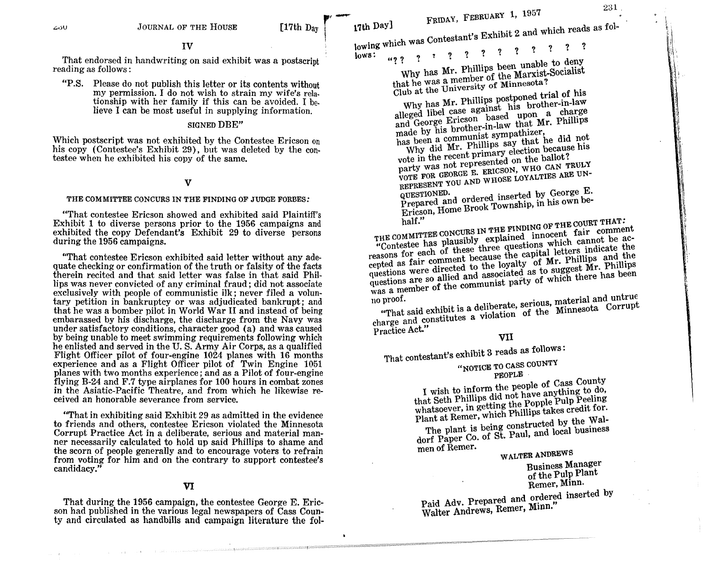That endorsed in handwriting on said exhibit was a postscript reading as follows:

"P.S. Please do not publish this letter or its contents without my permission. I do not wish to strain my wife's relationship with her family if this can be avoided. I believe I can be most useful in supplying information.

# SIGNED DBE"

Which postscript was not exhibited by the Contestee Ericson on his copy (Contestee's Exhibit 29), but was deleted by the contestee when he exhibited his copy of the same.

#### v

#### THE COMMITTEE CONCURS IN THE FINDING OF JUDGE FORBES:

"That contestee Ericson showed and exhibited said Plaintiff's Exhibit 1 to diverse persons prior to the 1956 campaigns and exhibited the copy Defendant's Exhibit 29 to diverse persons during the 1956 campaigns.

"'That contestee Ericson exhibited said letter without any adequate checking or confirmation of the truth or falsity of the facts therein recited and that said letter was false in that said Phillips was never convicted of any criminal fraud; did not associate exclusively with people of communistic ilk; never filed a voluntary petition in bankruptcy or was adjudicated bankrupt; and that he was a bomber pilot in World War II and instead of being embarassed by his discharge, the discharge from the Navy was under satisfactory conditions, character good (a) and was caused by being unable to meet swimming requirements following which he enlisted and served in the U. S. Army Air Corps, as a qualified Flight Officer pilot of four-engine 1024 planes with 16 months experience and as a Flight Officer pilot of Twin Engine 1051 planes with two months experience; and as a Pilot of four-engine flying B-24 and F.7 type airplanes for 100 hours in combat zones in the Asiatic-Pacific Theatre, and from which he likewise received an honorable severance from service.

"That in exhibiting said Exhibit 29 as admitted in the evidence to friends and others, contestee Ericson violated the Minnesota Corrupt Practice Act in a deliberate, serious and material manner necessarily calculated to hold up said Phillips to shame and the scorn of people generally and to encourage voters to refrain from voting for him and on the contrary to support contestee's candidacy."

#### VI

That during the 1956 campaign, the contestee George E. Ericson had published in the various legal newspapers of Cass County and circulated as handbills and campaign literature the fol-

[17th D<sub>ay</sub> **17th Day]** FRIDAY, FEBRUARY 1, 1957 **FRIDAY**, FEBRUARY 1, 1957 **PAY**<br>towing Contestant's Exhibit 2 and which reads as fol-

lows:  $\frac{100}{10}$   $\frac{100}{100}$   $\frac{100}{100}$   $\frac{100}{100}$   $\frac{100}{100}$   $\frac{100}{100}$   $\frac{100}{100}$   $\frac{100}{100}$   $\frac{100}{100}$   $\frac{100}{100}$   $\frac{100}{100}$   $\frac{100}{100}$   $\frac{100}{100}$   $\frac{100}{100}$   $\frac{100}{100}$   $\frac{10$ 

Why has Mr. Phillips been unable to deny that he was a member of the Marxist-Socialist Club at the University of Minnesota?

Why has Mr. Phillips postponed trial of his alleged libel case against his brother-in-law and George Ericson based upon a charge made by his brother-in-law that Mr. Phillips<br>has been a communist sympathizer,

Why did Mr. Phillips say that he did not vote in the recent primary election because his

party was not represented on the ballot? Party with the CEORGE E. ERICSON, WHO CAN TRULY REPRESENT YOU AND WHOSE LOYALTIES ARE UNREPRESENT YOU AND WHOSE LOYALTIES

Prepared and ordered inserted by George E. Ericson, Home Brook Township, in his own be-

half." THE COMMITTEE CONCURS IN THE FINDING OF THE COURT THAT: "Contestee has plausibly explained innocent fair comment "Contestee has plausided three questions which cannot be the reasons for each of these cause the capital letters indicate cepted as fair comment because the capital letters indicate the questions were directed to the loyalty of Mr. Phillips and the questions are so allied and associated as to suggest Mr. Phillips was a member of the communist questions were directed to the loyalty of Mr. Phillips and the questions are so allied and associated as to suggest Mr. Phillips

no proof.<br>
"That said exhibit is a deliberate, serious, material and untrue charge and constitutes a violation of the Minnesota Corrupt

Practice Act."

# **VII**

That contestant's exhibit 3 reads as follows: "NOTICE TO CASS COUNTY

PEOPLE

I wish to inform the people of Cass County that Seth Phillips did not have anything to do, whatsoever, in getting the Popple Pulp Peeling Plant at Remer, which Phillips takes credit for.

The plant is being constructed by the Waldorf Paper Co. of St. Paul, and local business men of Remer.

WALTER ANDREWS

Business Manager of the Pulp Plant Remer, Minn.

Paid Adv. Prepared and ordered inserted by Walter Andrews, Remer, Minn."

It

::' .,

! ,.

,l

 $\parallel$ 

 $^{\tiny\textsf{H}}$  $\mathfrak l\mathfrak l$ IIi 'Ii '\\ ,I  $\mathbb{R}^+$ I  $\mathcal{L}$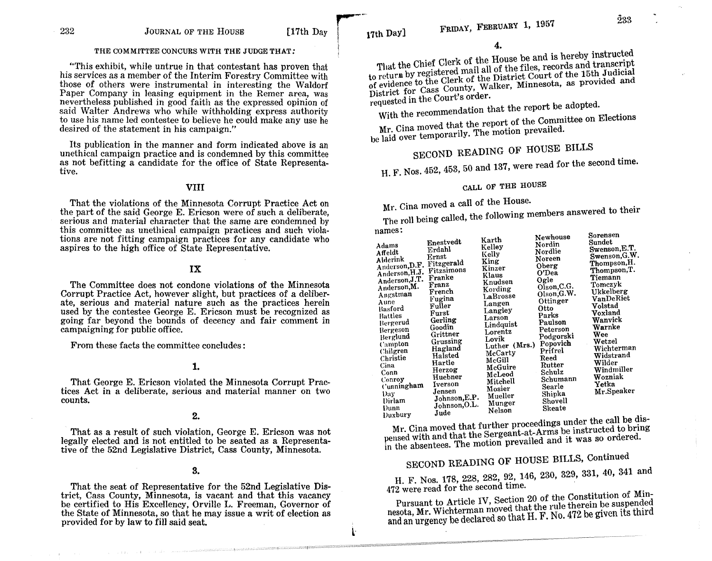#### THE COMMITTEE CONCURS WITH THE JUDGE THAT:

"This exhibit, while untrue in that contestant has proven that his services as a member of the Interim Forestry Committee with those of others were instrumental in interesting the Waldorf Paper Company in leasing equipment in the Remer area, was nevertheless published in good faith as the expressed opinion of said Walter Andrews who while withholding express authority to use his name led contestee to believe he could make any use he desired of the statement in his campaign."

Its publication in the manner and form indicated above is an unethical campaign practice and is condemned by this committee as not befitting a candidate for the office of State Representative.

#### **VIII**

That the violations of the Minnesota Corrupt Practice Act on the part of the said George E. Ericson were of such a deliberate, serious and material character that the same are condemned by this committee as unethical campaign practices and such violations are not fitting campaign practices for any candidate who aspires to the high office of State Representative.

# **IX**

The Committee does not condone violations of the Minnesota Corrupt Practice Act, however slight, but practices of a deliberate, serious and material nature such as the practices herein used by the contestee George E. Ericson must be recognized as going far beyond the bounds of decency and fair comment in campaigning for public office.

From these facts the committee concludes:

# **1.**

That George E. Ericson violated the Minnesota Corrupt Practices Act in a deliberate, serious and material manner on two counts.

#### **2.**

That as a result of such violation, George E. Ericson was not legally elected and is not entitled to be seated as a Representative of the 52nd Legislative District, Cass County, Minnesota.

#### **3.**

That the seat of Representative for the 52nd Legislative District, Cass County, Minnesota, is vacant and that this vacancy be certified to His Excellency, Orville L. Freeman, Governor of the State of Minnesota, so that he may issue a writ of election as provided for by law to fill said seat.

That the Chief Clerk of the House be and is hereby instructed to return by registered mail all of the files, records and transcript to return by Augustica minimizing incorporation of the 15th Judicial of evidence to the Clerk of the District Court of the 15th Judicial of evidence we have start of the Castlebours of the rout succession of the provided and District for Cass County, Walker, Minnesota, as provided and requested in the Court's order.

With the recommendation that the report be adopted.

Mr. Cina moved that the report of the Committee on Elections be laid over temporarily. The motion prevailed.

SECOND READING OF HOUSE BILLS

H. F. Nos. 452, 453, 50 and 137, were read for the second time.

# CALL OF THE HOUSE

Mr. Cina moved a call of the House.

The roll being called, the following members answered to their

| names: |  |
|--------|--|
|--------|--|

l-

| <br>Adams<br>Affeldt<br>Alderink<br>Anderson, D.F.<br>Anderson, H.J.<br>Anderson, J.T.<br>Anderson, M.<br>Angstman<br>Aune<br>Basford<br>Battles<br>Bergerud<br>Bergeson<br>Berglund<br>Campton<br>Chilgren<br>Christie<br>Cina<br>Conn<br>Conroy<br>Cunningham<br>Dav<br><b>Dirlam</b><br>Dunn | Enestvedt<br>Erdahl<br>Ernst<br>Fitzgerald<br>Fitzsimons<br>Franke<br>Franz<br>French<br>Fugina<br>Fuller<br>Furst<br>Gerling<br>Goodin<br>Grittner<br>Grussing<br>Hagland<br>Halsted<br>Hartle<br>Herzog<br>Huebner<br>Iverson<br>Jensen<br>Johnson, E.P.<br>Johnson, O.L. | Karth<br>Kelley<br>Kelly<br>King<br>Kinzer<br>Klaus<br>Knudsen<br>Kording<br>LaBrosse<br>Langen<br>Langley<br>Larson<br>Lindquist<br>Lorentz<br>Lovik<br>Luther (Mrs.)<br>McCarty<br>McGill<br>McGuire<br>McLeod<br>Mitchell<br>Mosier<br>Mueller<br>Munger<br>Nelson | Newhouse<br>Nordin<br>Nordlie<br>Noreen<br>Oberg<br>O'Dea<br>Ogle<br>Olson, C.G.<br>Olson,G.W.<br>Ottinger<br>Otto<br>Parks<br>Paulson<br>Peterson<br>Podgorski<br>Popovich<br>Prifrel<br>Reed<br>Rutter<br>Schulz<br>Schumann<br>Searle<br>Shipka<br>Shovell<br>Skeate | Sorensen<br>Sundet<br>Swenson, E.T.<br>Swenson, G.W.<br>Thompson, H.<br>Thompson, T.<br>Tiemann<br>Tomczyk<br>Ukkelberg<br>VanDeRiet<br>Volstad<br>Voxland<br>Wanvick<br>Warnke<br>Wee<br>Wetzel<br>Wichterman<br>Widstrand<br>Wilder<br>Windmiller<br>Wozniak<br>Yetka<br>Mr.Speaker |
|-------------------------------------------------------------------------------------------------------------------------------------------------------------------------------------------------------------------------------------------------------------------------------------------------|-----------------------------------------------------------------------------------------------------------------------------------------------------------------------------------------------------------------------------------------------------------------------------|-----------------------------------------------------------------------------------------------------------------------------------------------------------------------------------------------------------------------------------------------------------------------|-------------------------------------------------------------------------------------------------------------------------------------------------------------------------------------------------------------------------------------------------------------------------|---------------------------------------------------------------------------------------------------------------------------------------------------------------------------------------------------------------------------------------------------------------------------------------|
| Duxbury                                                                                                                                                                                                                                                                                         | Jude                                                                                                                                                                                                                                                                        |                                                                                                                                                                                                                                                                       |                                                                                                                                                                                                                                                                         | п.<br>. .                                                                                                                                                                                                                                                                             |

Mr. Cina moved that further proceedings under the call be dispensed with and that the Sergeant-at-Arms be instructed to bring in the absentees. The motion prevailed and it was so ordered.

# SECOND READING OF HOUSE BILLS, Continued

H. F. Nos. 178, 228, 282, 92, 146, 230, 329, 331, 40, 341 and 472 were read for the second time.

Pursuant to Article IV, Section 20 of the Constitution of Minnesota, Mr. Wichterman moved that the rule therein be suspended and an urgency be declared so that H. F. No. 472 be given its third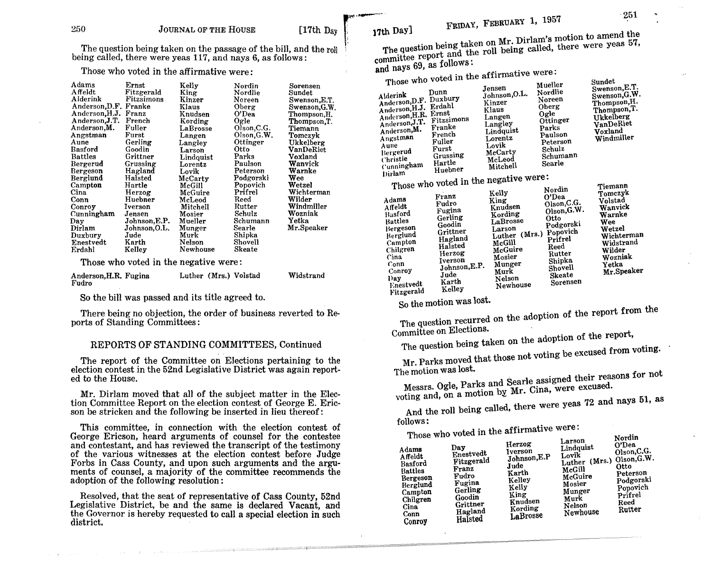$\overline{1}$ 

The question being taken on the passage of the bill, and the roll being called, there were yeas 117, and nays 6, as follows:

Those who voted in the affirmative were:

| Adams                 | Ernst         | Kelly     | Nordin        | Sorensen     |
|-----------------------|---------------|-----------|---------------|--------------|
| Affeldt               | Fitzgerald    | King      | Nordlie       | Sundet       |
| Alderink              | Fitzsimons    | Kinzer    | Noreen        | Swenson,E.T. |
| Anderson, D.F. Franke |               | Klaus     | Oberg         | Swenson.G.W. |
| Anderson, H.J.        | Franz         | Knudsen   | O'Dea         | Thompson,H.  |
| Anderson, J.T.        | French        | Kording   | Ogle          | Thompson, T. |
| Anderson, M.          | Fuller        | LaBrosse  | Olson, C.G.   | Tiemann      |
| Angstman              | Furst         | Langen    | Olson.G.W.    | Tomczyk      |
| Aune                  | Gerling       | Langley   | Ottinger      | Ukkelberg    |
| Basford               | Goodin        | Larson    | Otto          | VanDeRiet    |
| <b>Battles</b>        | Grittner      | Lindquist | Parks         | Voxland      |
| Bergerud              | Grussing      | Lorentz   | Paulson       | Wanvick      |
| Bergeson              | Hagland       | Lovik     | Peterson      | Warnke       |
| Berglund              | Halsted       | McCarty   | Podgorski     | Wee          |
| Campton               | Hartle        | McGill    | Popovich      | Wetzel       |
| Cina                  | Herzog        | McGuire   | Prifrel       | Wichterman   |
| Conn                  | Huebner       | McLeod    | Reed          | Wilder       |
| Conrov                | Iverson       | Mitchell  | Rutter        | Windmiller   |
| Cunningham            | Jensen        | Mosier    | Schulz        | Wozniak      |
| Day                   | Johnson, E.P. | Mueller   | Schumann      | Yetka        |
| Dirlam                | Johnson, O.L. | Munger    | Searle        | Mr.Speaker   |
| Duxbury               | Jude          | Murk      | Shipka        |              |
| Enestvedt             | Karth         | Nelson    | Shovell       |              |
| Erdahl                | Kelley        | Newhouse  | <b>Skeate</b> |              |

Those who voted in the negative were:

| Anderson, H.R. Fugina | Luther (Mrs.) Volstad | Widstrand |
|-----------------------|-----------------------|-----------|
| Fudro                 |                       |           |

So the bill was passed and its title agreed to.

There being no objection, the order of business reverted to Reports of Standing Committees:

# REPORTS OF STANDING COMMITTEES, Continued

The report of the Committee on Elections pertaining to the election contest in the 52nd Legislative District was again reported to the House.

Mr. Dirlam moved that all of the subject matter in the Election Committee Report on the election contest of George E. Ericson be stricken and the following be inserted in lieu thereof:

This committee, in connection with the election contest of George Ericson, heard arguments of counsel for the contestee and contestant, and has reviewed the transcript of the testimony of the various witnesses at the election contest before Judge Forbs in Cass County, and upon such arguments and the arguments of counsel, a majority of the committee recommends the adoption of the following resolution:

Resolved, that the seat of representative of Cass County, 52nd Legislative District, be and the same is declared Vacant, and the Governor is hereby requested to call a special election in such district.

17th Day] FRIDAY, FEBRUARY 1, 1957<br>The question being taken on Mr. Dirlam's motion to amend the  $\mathbb{R}$ , The question being taken on Mr. Dirlam's motion to amend the state theory were year. The question being called and the roll being called, there were year. and nays 69, as follows:

Those who voted in the affirmative were:

| Alderink<br>Anderson, D.F. Duxbury<br>Anderson, H.J.<br>Anderson, H.R.<br>Anderson, J.T.<br>Anderson, M.<br>Angstman<br>Aune<br>Bergerud<br>Christie<br>Cunningham | Those who you in the warm<br>Dunn<br>Erdahl<br>Ernst<br>Fitzsimons<br>Franke<br>French<br>Fuller<br>Furst<br>Grussing<br>Hartle<br>Huebner | Jensen<br>Johnson, O.L.<br>Kinzer<br>Klaus<br>Langen<br>Langley<br>Lindquist<br>Lorentz<br>Lovik<br>McCarty<br>McLeod<br>Mitchell | Mueller<br>Nordlie<br>Noreen<br>Oberg<br>Ogle<br>Ottinger<br>Parks<br>Paulson<br>Peterson<br>Schulz<br>Schumann<br>Searle | Sundet<br>Swenson, E.T.<br>Swenson, G.W.<br>Thompson, H.<br>Thompson, T.<br>Ukkelberg<br>VanDeRiet<br>Voxland<br>Windmiller |
|--------------------------------------------------------------------------------------------------------------------------------------------------------------------|--------------------------------------------------------------------------------------------------------------------------------------------|-----------------------------------------------------------------------------------------------------------------------------------|---------------------------------------------------------------------------------------------------------------------------|-----------------------------------------------------------------------------------------------------------------------------|
| Dirlam                                                                                                                                                             |                                                                                                                                            | Those who voted in the negative were:                                                                                             |                                                                                                                           |                                                                                                                             |
|                                                                                                                                                                    |                                                                                                                                            | Kellv                                                                                                                             | Nordin                                                                                                                    | Tiemann<br>Tomezyk                                                                                                          |

| Adams<br>Affeldt<br>Basford<br><b>Battles</b><br>Bergeson<br><b>Berglund</b><br>Campton<br>Chilgren<br>Cina<br>Conn<br>Conroy<br>l) ay<br><b>Lnestvedt</b><br>Fitzgerald | Franz<br>Fudro<br>Fugina<br>Gerling<br>Goodin<br>Grittner<br>Hagland<br>Halsted<br>Herzog<br><b>Iverson</b><br>Johnson, E.P.<br>Jude<br>Karth<br>Kelley | Kelly<br>King<br>Knudsen<br>Kording<br>LaBrosse<br>Larson<br>(Mrs.)<br>Luther<br>McGill<br>McGuire<br>Mosier<br>Munger<br>Murk<br>Nelson<br>Newhouse | NOTULL<br>O'Dea<br>Olson, C.G.<br>Olson, G.W.<br>Otto<br>Podgorski<br>Popovich<br>Prifrel<br>Reed<br>Rutter<br>Shipka<br>Shovell<br><b>Skeate</b><br>Sorensen | Tomczyk<br>Volstad<br>Wanvick<br>Warnke<br>Wee<br>Wetzel<br>Wichterman<br>Widstrand<br>Wilder<br>Wozniak<br>Yetka<br>Mr.Speaker |
|--------------------------------------------------------------------------------------------------------------------------------------------------------------------------|---------------------------------------------------------------------------------------------------------------------------------------------------------|------------------------------------------------------------------------------------------------------------------------------------------------------|---------------------------------------------------------------------------------------------------------------------------------------------------------------|---------------------------------------------------------------------------------------------------------------------------------|
|--------------------------------------------------------------------------------------------------------------------------------------------------------------------------|---------------------------------------------------------------------------------------------------------------------------------------------------------|------------------------------------------------------------------------------------------------------------------------------------------------------|---------------------------------------------------------------------------------------------------------------------------------------------------------------|---------------------------------------------------------------------------------------------------------------------------------|

So the motion was lost.

The question recurred on the adoption of the report from the Committee on Elections.

The question being taken on the adoption of the report,

Mr. Parks moved that those not voting be excused from voting.

The motion was lost.

Messrs. Ogle, Parks and Searle assigned their reasons for not voting and, on a motion by Mr. Cina, were excused.

And the roll being called, there were yeas 72 and nays 51, as

follows: Those who voted in the affirmative were.

| 111000 M<br>Adams<br><b>Affeldt</b><br>Basford<br><b>Battles</b><br>Bergeson<br>Berglund<br>Campton<br>Chilgren<br>Cina<br>Conn<br>Conroy | Day<br>Enestvedt<br>Fitzgerald<br>Franz<br>Fudro<br>Fugina<br>Gerling<br>Goodin<br>Grittner<br>Hagland<br>Halsted | Herzog<br><b>Iverson</b><br>Johnson, E.P<br>Jude<br>Karth<br>Kelley<br>Kelly<br>King<br>Knudsen<br>Kording<br>LaBrosse | Larson<br>Lindquist<br>Lovik<br>Luther (Mrs.)<br>McGill<br>McGuire<br>Mosier<br>Munger<br>Murk<br>Nelson<br>Newhouse | Norain<br>O'Dea<br>Olson, C.G.<br>Olson, G.W.<br><b>Otto</b><br>Peterson<br>Podgorski<br>Popovich<br>Prifrel<br>Reed<br>Rutter |
|-------------------------------------------------------------------------------------------------------------------------------------------|-------------------------------------------------------------------------------------------------------------------|------------------------------------------------------------------------------------------------------------------------|----------------------------------------------------------------------------------------------------------------------|--------------------------------------------------------------------------------------------------------------------------------|
|-------------------------------------------------------------------------------------------------------------------------------------------|-------------------------------------------------------------------------------------------------------------------|------------------------------------------------------------------------------------------------------------------------|----------------------------------------------------------------------------------------------------------------------|--------------------------------------------------------------------------------------------------------------------------------|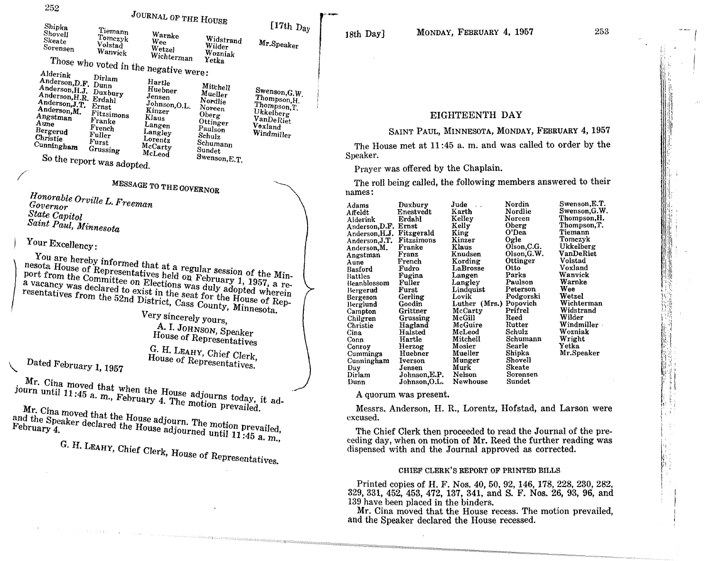VanDeRiet Vexland Windmiller 18th Day]

i  $\left\{ \cdot \right\}$  ; (, l

**I** I l ! I 1

I J literature of the context.  $\mathbf i$  $\mathbf{I}$ i-' lJ:;:' 1  $\prod_{i=1}^n$  $\mathbb{I}^1$  , ! :: l

iii

# EIGHTEENTH DAY

# SAINT PAUL, MINNESOTA, MONDAY, FEBRUARY 4, 1957

The House met at 11 :45 a. m. and was called to order by the Speaker.

Prayer was offered by the Chaplain.

The roll being called, the following members answered to their names:

|               | Jude<br>$\sim$                                                                                  | Nordin                                       | Swenson, E.T. |
|---------------|-------------------------------------------------------------------------------------------------|----------------------------------------------|---------------|
| Enestvedt     | Karth                                                                                           | Nordlie                                      | Swenson,G.W.  |
| Erdahl        | Kelley                                                                                          | Noreen                                       | Thompson, H.  |
|               |                                                                                                 | Oberg                                        | Thompson, T.  |
|               |                                                                                                 | O'Dea                                        | Tiemann       |
| Fitzsimons    |                                                                                                 | Ogle                                         | Tomezyk       |
| Franke        | Klaus                                                                                           | Olson, C.G.                                  | Ukkelberg     |
|               | Knudsen                                                                                         | Olson, G.W.                                  | VanDeRiet     |
| French        |                                                                                                 | Ottinger                                     | Volstad       |
| Fudro         | LaBrosse                                                                                        | Otto                                         | Voxland       |
|               |                                                                                                 | Parks                                        | Wanvick       |
| Fuller        | Langley                                                                                         | Paulson                                      | Warnke        |
| Furst         | Lindquist                                                                                       | Peterson                                     | Wee           |
| Gerling       | Lovik                                                                                           | Podgorski                                    | Wetzel        |
| Goodin        | Luther (Mrs.)                                                                                   | Popovich                                     | Wichterman    |
| Grittner      | McCarty                                                                                         | Prifrel                                      | Widstrand     |
| Grussing      | McGill                                                                                          | Reed                                         | Wilder        |
| Hagland       | McGuire                                                                                         | Rutter                                       | Windmiller    |
| Halsted       | McLeod                                                                                          | Schulz                                       | Wozniak       |
| Hartle        | Mitchell                                                                                        | Schumann                                     | Wright        |
|               | Mosier                                                                                          | Searle                                       | Yetka         |
| Huebner       | Mueller                                                                                         | Shipka                                       | Mr.Speaker    |
| Iverson       | Munger                                                                                          | Shovell                                      |               |
| Jensen        | Murk                                                                                            | Skeate                                       |               |
| Johnson, E.P. | Nelson                                                                                          | Sorensen                                     |               |
| Johnson,O.L.  | Newhouse                                                                                        | Sundet                                       |               |
|               | Duxbury<br>Anderson, D.F.<br>Ernst<br>Fitzgerald<br>Anderson, H.J.<br>Franz<br>Fugina<br>Herzog | Kelly<br>King<br>Kinzer<br>Kording<br>Langen |               |

A quorum was present.

Messrs. Anderson, H. R., Lorentz, Hofstad, and Larson were excused.

The Chief Clerk then proceeded to read the Journal of the preceding day, when on motion of Mr. Reed the further reading was dispensed with and the Journal approved as corrected.

#### CHIEF CLERK'S REPORT OF PRINTED BILLS

Printed copies of H. F. Nos. 40,50,92, 146, 178,228,230,282, 329,331, 452, 453, 472, 137, 341, and S. F. Nos. 26, 93, 96, and 139 have been placed in the binders.

Mr. Cina moved that the House recess. The motion prevailed, and the Speaker declared the House recessed.

Angstman Fitzsimons Klaus Oberg<br>Aune Franke Langen Ottinger Aune Franke Langen Ottinger<br>
Bergerud French Langley Paulson<br>
Christie Fuller Lorentz Schulz Christie Fuller Lorentz Schulz<br>Cunningham Furst McCarty Schumann Curristie Furst McCarty Schuma<br>Christian Grussing McCarty Sundet<br>Christian McLeod Sundet  $C_{\text{C}}$   $C_{\text{C}}$   $C_{\text{C}}$   $C_{\text{C}}$   $C_{\text{C}}$   $C_{\text{C}}$   $C_{\text{C}}$   $C_{\text{C}}$   $C_{\text{C}}$   $C_{\text{C}}$   $C_{\text{C}}$   $C_{\text{C}}$   $C_{\text{C}}$   $C_{\text{C}}$   $C_{\text{C}}$   $C_{\text{C}}$   $C_{\text{C}}$   $C_{\text{C}}$   $C_{\text{C}}$   $C_{\text{C}}$   $C_{\text{C}}$   $C_{\text{C}}$ 

MESSAGE TO THE GOVERNOR

*Honorable Orville L. F1'eeman Governor State Capitol Saint PaUl, Minnesota*

So the report was adopted.

Your Excellency:

/

 $\sqrt{\frac{1}{2}}$ 

You are hereby informed that at a regular session of the Minport from the  $Commit$ <sub>representatives held on February</sub> 1, 1957, and  $M$ a vacancy was declared to  $P$  Elections was duly adopted in  $P_1$ ,  $1957$ , a report from the Committee on Elections was duly adopted wherein<br>a vacancy was declared to exist in the seat for the House of Rep-<br>resentatives from the 52nd District, Cass County, Minnesota. POLE LIVILE GROUNDING ON ENCLOSITY WAS USED A VACANCY WAS declared to exist in the seat for the House of Rep-

Very sincerely yours, A. I. JOHNSON, Speaker House of Representatives

G. H. LEAHY, Chief Clerk,

Dated February 1, 1957

Mr. Cina moved that when the House adjourns today, it adjourn until 11:45 a. m., February 4. The motion prevailed.

Mr. Cina moved that the House adjourn. The motion prevailed, and the Speaker declared the House adjourned until 11:45 a. m.,

G. H. LEAHY, Chief Clerk, House of Representatives.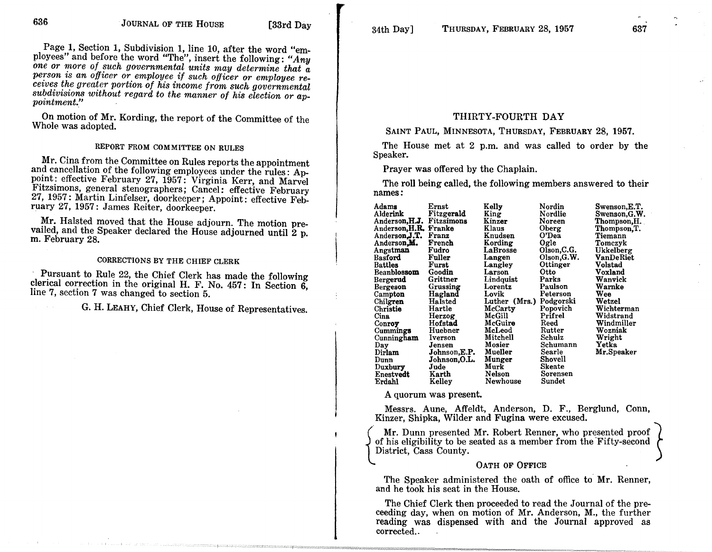Page **1,** Section **1,** Subdivision **1,** line 10, after the word "employees" and before the word "The", insert the following: *"Any one or more of such governmental units may determine that a person i.s an officer or employee if such officer or employee recei'ves the greater portion of his income from such governmental subdivisions without regard to the manner of his election or ap- pointment."*

On motion of Mr. Kording, the report of the Committee of the Whole was adopted.

# REPORT FROM COMMITTEE ON RULES

Mr. Cina from the Committee on Rules reports the appointment and cancellation of the following employees under the rules: Appoint: effective February 27, 1957: Virginia Kerr, and Marvel Fitzsimons, general stenographers; Cancel: effective February 27, 1957: Martin Linfelser, doorkeeper; Appoint: effective February 27, 1957: James Reiter, doorkeeper.

Mr. Halsted moved that the House adjourn. The motion prevailed, and the Speaker declared the House adjourned until 2 p. m. February 28.

# CORRECTIONS BY THE CHIEF CLERK

Pursuant to Rule 22, the Chief Clerk has made the following clerical correction in the original H. F. No. 457: In Section  $\tilde{6}$ , line 7, section 7 was changed to section 5.

G. H. LEAHY, Chief Clerk, House of Representatives.

### THIRTY-FOURTH DAY

#### SAINT PAUL, MINNESOTA, THURSDAY, FEBRUARY 28, 1957.

The House met at 2 p.m. and was called to order by the Speaker.

Prayer was offered by the Chaplain.

The roll being called, the following members answered to their names:

| Adams                 | Ernst        | Kelly         | Nordin      | Swenson,E.T. |
|-----------------------|--------------|---------------|-------------|--------------|
| Alderink              | Fitzgerald   | King          | Nordlie     | Swenson,G.W. |
| Anderson, H.J.        | Fitzsimons   | Kinzer        | Noreen      | Thompson,H.  |
| Anderson, H.R. Franke |              | Klaus         | Oberg       | Thompson, T. |
| Anderson, J.T.        | Franz        | Knudsen       | O'Dea       | Tiemann      |
| Anderson, M.          | French       | Kording       | Ogle        | Tomczyk      |
| Angstman              | Fudro        | LaBrosse      | Olson, C.G. | Ukkelberg    |
| Basford               | Fuller       | Langen        | Olson, G.W. | VanDeRiet    |
| <b>Battles</b>        | Furst        | Langley       | Ottinger    | Volstad      |
| <b>Beanblossom</b>    | Goodin       | Larson        | Otto        | Voxland      |
|                       | Grittner     |               | Parks       |              |
| Bergerud              |              | Lindquist     |             | Wanvick      |
| Bergeson              | Grussing     | Lorentz       | Paulson     | Warnke       |
| Campton               | Hagland      | Lovik         | Peterson    | Wee          |
| Chilgren              | Halsted      | Luther (Mrs.) | Podgorski   | Wetzel       |
| Christie              | Hartle       | McCarty       | Popovich    | Wichterman   |
| Cina                  | Herzog       | McGill        | Prifrel     | Widstrand    |
| Conroy                | Hofstad      | McGuire       | Reed        | Windmiller   |
| <b>Cummings</b>       | Huebner      | McLeod        | Rutter      | Wozniak      |
| Cunningham            | Iverson      | Mitchell      | Schulz      | Wright       |
| Day                   | Jensen       | Mosier        | Schumann    | Yetka        |
| Dirlam                | Johnson,E.P. | Mueller       | Searle      | Mr.Speaker   |
| Dunn                  | Johnson,O.L. | Munger        | Shovell     |              |
| Duxbury               | Jude         | Murk          | Skeate      |              |
| Enestvedt             | Karth        | Nelson        | Sorensen    |              |
| Erdahl                | Kelley       | Newhouse      | Sundet      |              |
|                       |              |               |             |              |

A quorum was present.

{

Messrs. Aune, Affeldt, Anderson, D. F., Berglund, Conn, Kinzer, Shipka, Wilder and Fugina were excused.

Mr. Dunn presented Mr. Robert Renner, who presented proof} of his eligibility to be seated as a member from the "Fifty-second District, Cass County.

#### OATH OF OFFICE

The Speaker administered the oath of office to Mr. Renner, and he took his seat in the House.

The Chief Clerk then proceeded to read the Journal of the preceeding day, when on motion of Mr. Anderson, M., the further reading was dispensed with and the Journal approved as corrected..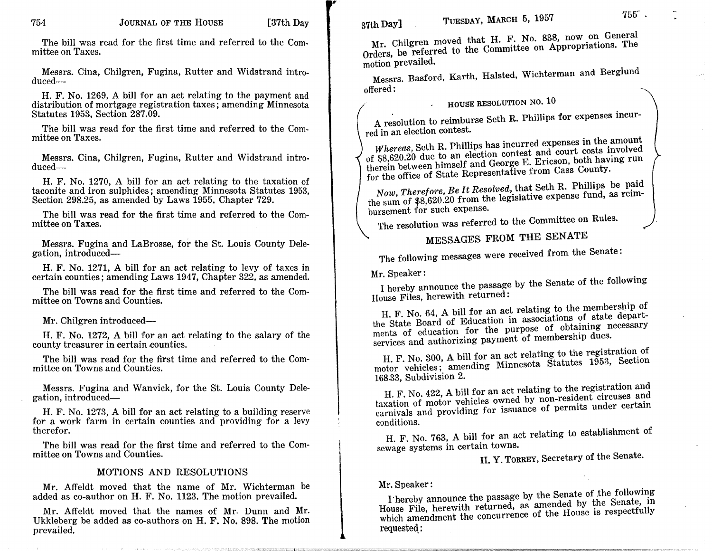lI'

The bill was read for the first time and referred to the Committee on Taxes.

Messrs. Cina, Chilgren, Fugina, Rutter and Widstrand introduced-

H. F. No. 1269, A bill for an act relating to the payment and distribution of mortgage registration taxes; amending Minnesota Statutes 1953, Section 287.09.

The bill was read for the first time and referred to the Committee on Taxes.

Messrs. Cina, Chilgren, Fugina, Rutter and Widstrand introduced-

H. F. No. 1270, A bill for an act relating to the taxation of taconite and iron sulphides; amending Minnesota Statutes 1953, Section 298.25, as amended by Laws 1955, Chapter 729.

The bill was read for the first time and referred to the Committee on Taxes.

Messrs. Fugina and LaBrosse, for the St. Louis County Delegation, introduced-

H. F. No. 1271, A bill for an act relating to levy of taxes in certain counties; amending Laws 1947, Chapter 322, as amended.

The bill was read for the first time and referred to the Committee on Towns and Counties.

#### Mr. Chilgren introduced-

H. F. No. 1272, A bill for an act relating to the salary of the county treasurer in certain counties.

The bill was read for the first time and referred to the Committee on Towns and Counties.

Messrs. Fugina and Wanvick, for the St. Louis County Delegation, introduced-

H. F. No. 1273, A bill for an act relating to a building reserve for a work farm in certain counties and providing for a levy therefor.

The bill was read for the first time and referred to the Committee on Towns and Counties.

#### MOTIONS AND RESOLUTIONS

Mr. Affeldt moved that the name of Mr. Wichterman be added as co-author on H. F. No. 1123. The motion prevailed.

Mr. Affeldt moved that the names of Mr. Dunn and Mr. Ukkleberg be added as co-authors on H. F. No. 898. The motion prevailed.

Mr. Chilgren moved that H. F. No. 838, now on General Orders, be referred to the Committee on Appropriations. The motion prevailed.

Messrs. Basford, Karth, Halsted, Wichterman and Berglund offered:

# HOUSE RESOLUTION NO. 10

A resolution to reimburse Seth R. Phillips for expenses incurred in an election contest.

*Whereas,* Seth R. Phillips has incurred expenses in the amount of \$8,620.20 due to an election contest and court costs involved therein between himself and George E. Ericson, both having run for the office of State Representative from Cass County.

*Now, Therefore, Be It Resolved,* that Seth R. Phillips be paid the sum of \$8,620.20 from the legislative expense fund, as reimbursement for such expense.

The resolution was referred to the Committee on Rules.

# MESSAGES FROM THE SENATE

The following messages were received from the Senate:

Mr. Speaker:

I hereby announce the passage by the Senate of the following House Files, herewith returned:

H. F. No. 64, A bill for an act relating to the membership of the State Board of Education in associations of state departments of education for the purpose of obtaining necessary services and authorizing payment of membership dues.

H. F. No. 300, A bill for an act relating to the registration of motor vehicles; amending Minnesota Statutes 1953, Section 168.33, Subdivision 2.

H. F. No. 422, A bill for an act relating to the registration and taxation of motor vehicles owned by non-resident circuses and carnivals and providing for issuance of permits under certain conditions.

H. F. No. 763, A bill for an act relating to establishment of sewage systems in certain towns.

# H. Y. TORREY, Secretary of the Senate.

#### Mr. Speaker:

I'hereby announce the passage by the Senate of the following House File, herewith returned, as amended by the Senate, in which amendment the concurrence of the House is respectfully requested::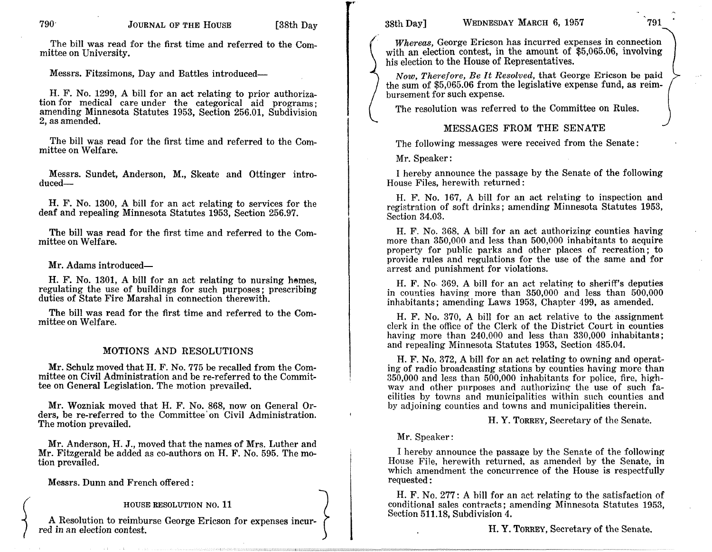The bill was read for the first time and referred to the Committee on University.

Messrs. Fitzsimons, Day and Battles introduced-

H. F. No. 1299, A bill for an act relating to prior authorization for medical care under the categorical aid programs; amending Minnesota Statutes 1953, Section 256.01, Subdivision 2, as amended.

The bill was read for the first time and referred to the Committee on Welfare.

Messrs. Sundet, Anderson, M., Skeate and Ottinger introduced-

H. F. No. 1300, A bill for an act relating to services for the deaf and repealing Minnesota Statutes 1953, Section 256.97.

The bill was read for the first time and referred to the Committee on Welfare.

Mr. Adams introduced-

H. F. No. 1301, A bill for an act relating to nursing hemes, regulating the use of buildings for such purposes; prescribing duties of State Fire Marshal in connection therewith.

The bill was read for the first time and referred to the Committee on Welfare.

# MOTIONS AND RESOLUTIONS

Mr. Schulz moved that H. F. No. 775 be recalled from the Committee on Civil Administration and be re-referred to the Committee on General Legislation. The motion prevailed.

Mr. Wozniak moved that H. F. No. 868, now on General Orders, be re-referred to the Committee' on Civil Administration. The motion prevailed.

Mr. Anderson, H. J., moved that the names of Mrs. Luther and Mr. Fitzgerald be added as co-authors on H. F. No. 595. The motion prevailed.

Messrs. Dunn and French offered:

#### HOUSE RESOLUTION NO. 11

A Resolution to reimburse George Ericson for expenses incurred in an election contest.

..

WEDNESDAY MARCH 6, 1957 791

*Whereas,* George Ericson has incurred expenses in connection with an election contest, in the amount of \$5,065.06, involving his election to the House of Representatives.

*Now, Therefore, Be It Resolved, that George Ericson be paid* the sum of \$5,065.06 from the legislative expense fund, as reimbursement for such expense.

The resolution was referred to the Committee on Rules.

# MESSAGES FROM THE SENATE

The following messages were received from the Senate:

Mr. Speaker:

I hereby announce the passage by the Senate of the following House Files, herewith returned:

H. F. No. 167, A bill for an act relating to inspection and registration of soft drinks; amending Minnesota Statutes 1953, Section 34.03.

H. F. No. 368, A bill for an act authorizing- counties having more than 350,000 and less than 500,000 inhabitants to acquire property for public parks and other places of recreation; to provide rules and regulations for the use of the same and for arrest and punishment for violations.

H. F. No. 369, A bill for an act relating to sheriff's deputies in counties having more than 350,000 and less than 500,000 inhabitants; amending Laws 1953, Chapter 499, as amended.

H. F. No. 370, A bill for an act relative to the assignment clerk in the office of the Clerk of the District Court in counties having more than  $240,000$  and less than  $330,000$  inhabitants; and repealing Minnesota Statutes 1953, Section 485.04.

H. F. No. 372, A bill for an act relating to owning and operating of radio broadcasting stations by counties having more than 350,000 and less than 500,000 inhabitants for police, fire, highway and other purposes and authorizing the use of such facilities by towns and municipalities within snch counties and by adjoining counties and towns and municipalities therein.

H. Y. TORREY, Secretary of the Senate.

Mr. Speaker:

I hereby announce the passage by the Senate of the following House File, herewith returned, as amended by the Senate, in which amendment the concurrence of the House is respectfully requested:

H. F. No. 277: A bill for an act relating to the satisfaction of conditional sales contracts; amending Minnesota Statutes 1953, Section 511.18, Subdivision 4.

H. Y. TORREY, Secretary of the Senate.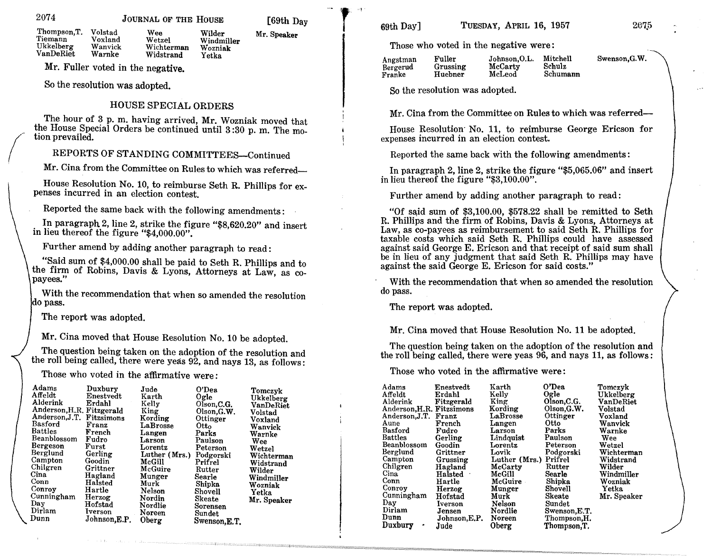2074

 $\sqrt{2}$ 

JOURNAL OF THE HOUSE

Wilder Mr. Speaker Windmiller

Wozniak Yetka

 $[69th$  Day  $\begin{matrix} 69th$  Day  $\end{matrix}$   $[69th$  Day]

207.5

Those who voted in the negative were:

| Fuller<br>Johnson, O.L.<br>Angstman<br>McCarty<br>Grussing<br>Bergerud<br>McLeod<br>Huebner<br>Franke | Swenson, G.W.<br>Mitchell<br>Schulz<br>Schumann |
|-------------------------------------------------------------------------------------------------------|-------------------------------------------------|
|-------------------------------------------------------------------------------------------------------|-------------------------------------------------|

So the resolution was adopted.

Mr. Cina from the Committee on Rules to which was referred-

House Resolution' No. 11, to reimburse George Ericson for expenses incurred in an election contest.

Reported the same back with the following amendments:

In paragraph 2, line 2, strike the figure "\$5,065.06" and insert in lieu thereof the figure "\$3,100.00".

Further amend by adding another paragraph to read:

"Of said sum of  $$3,100.00$ ,  $$578.22$  shall be remitted to Seth R. Phillips and the firm of Robins, Davis & Lyons, Attorneys at Law, as co-payees as reimbursement to said Seth R. Phillips for taxable costs which said Seth R. Phillips could have assessed against said George E. Ericson and that receipt of said sum shall be in lieu of any judgment that said Seth R. Phillips may have against the said George E. Ericson for said costs."

With the recommendation that when so amended the resolution do pass.

The report was adopted.

Mr. Cina moved that House Resolution No. 11 be adopted.

The question being taken on the adoption of the resolution and the roll being called, there were yeas 96, and nays 11, as follows:

Those who voted in the affirmative were:

| Adams<br>Affeldt          | Enestvedt<br>Erdahl | Karth<br>Kelly | O'Dea<br>Ogle | Tomczyk<br>Ukkelberg |
|---------------------------|---------------------|----------------|---------------|----------------------|
| Alderink                  | Fitzgerald          | King           | Olson, C.G.   | VanDeRiet            |
| Anderson, H.R. Fitzsimons |                     | Kording        | Olson, G.W.   | Volstad              |
| Anderson.J.T.             | Franz               | LaBrosse       | Ottinger      | Voxland              |
| Aune                      | French              | Langen         | Otto          | Wanvick              |
| Basford                   | Fudro               | Larson         | Parks         | Warnke               |
| <b>Battles</b>            | Gerling             | Lindquist      | Paulson       | Wee                  |
| Beanblossom               | Goodin              | Lorentz        | Peterson      | Wetzel               |
| Berglund                  | Grittner            | Lovik          | Podgorski     | Wichterman           |
| Campton                   | Grussing            | Luther (Mrs.)  | Prifrel       | Widstrand            |
| Chilgren                  | Hagland             | McCarty        | Rutter        | Wilder               |
| Cina                      | Halsted             | McGill         | Searle        | Windmiller           |
| Conn                      | Hartle              | McGuire        | Shipka        | Wozniak              |
| Conroy                    | Herzog              | Munger         | Shovell       | Yetka                |
| Cunningham                | Hofstad             | Murk           | Skeate        | Mr. Speaker          |
| Day                       | Iverson             | Nelson         | Sundet        |                      |
| Dirlam                    | Jensen              | Nordlie        | Swenson, E.T. |                      |
| Dunn                      | Johnson, E.P.       | Noreen         | Thompson, H.  |                      |
| Duxbury<br>٠              | Jude                | Oberg          | Thompson, T.  |                      |

Wee Wetzel Wichterman Widstrand Volstad Voxland Wanvick Warnke Thompson,T. Tiemann Ukkelberg VanDeRiet

Mr. Fuller voted in the negative.

So the resolution was adopted.

#### HOUSE SPECIAL ORDERS

The hour of 3 p. m. having arrived, Mr. Wozniak moved that the House Special Orders be continued until 3 :30 p. m. The motion prevailed.

# REPORTS OF STANDING COMMITTEES-Continued

Mr. Cina from the Committee on Rules to which was referred-

House Resolution No. 10, to reimburse Seth R. Phillips for expenses incurred in an election contest.

Reported the same back with the following amendments:

In paragraph 2, line 2, strike the figure "\$8,620.20" and insert in lieu thereof the figure "\$4,000.00".

Further amend by adding another paragraph to read:

"Said sum of \$4,000.00 shall be paid to Seth R. Phillips and to the firm of Robins, Davis & Lyons, Attorneys at Law, as copayees."

With the recommendation that when so amended the resolution do pass.

The report was adopted.

Mr. Cina moved that House Resolution No. 10 be adopted.

The question being taken on the adoption of the resolution and the roll being called, there were yeas 92, and nays 13, as follows:

Those who voted in the affirmative were: